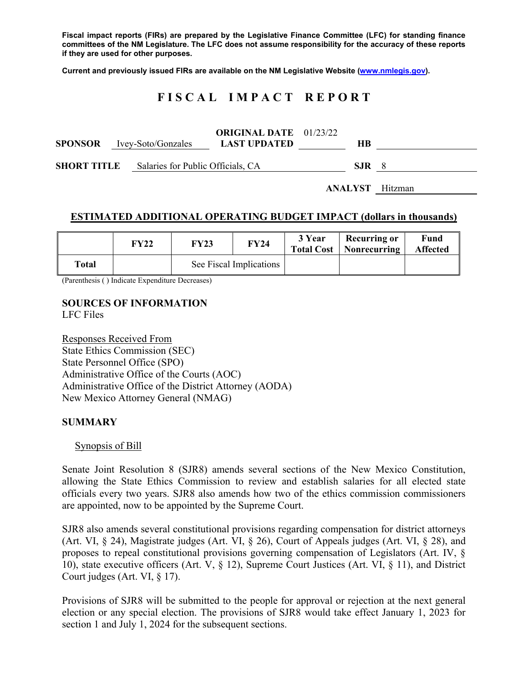**Fiscal impact reports (FIRs) are prepared by the Legislative Finance Committee (LFC) for standing finance committees of the NM Legislature. The LFC does not assume responsibility for the accuracy of these reports if they are used for other purposes.** 

**Current and previously issued FIRs are available on the NM Legislative Website (www.nmlegis.gov).** 

# **F I S C A L I M P A C T R E P O R T**

|                    |  | <b>SPONSOR</b> Ivey-Soto/Gonzales | <b>ORIGINAL DATE</b> 01/23/22<br><b>LAST UPDATED</b> | HВ  |                        |
|--------------------|--|-----------------------------------|------------------------------------------------------|-----|------------------------|
| <b>SHORT TITLE</b> |  | Salaries for Public Officials, CA | SJR.                                                 | - 8 |                        |
|                    |  |                                   |                                                      |     | <b>ANALYST</b> Hitzman |

#### **ESTIMATED ADDITIONAL OPERATING BUDGET IMPACT (dollars in thousands)**

|       | FY22 | <b>FY23</b>             | <b>FY24</b> | 3 Year | <b>Recurring or</b><br><b>Total Cost</b>   Nonrecurring | <b>Fund</b><br><b>Affected</b> |
|-------|------|-------------------------|-------------|--------|---------------------------------------------------------|--------------------------------|
| Total |      | See Fiscal Implications |             |        |                                                         |                                |

(Parenthesis ( ) Indicate Expenditure Decreases)

#### **SOURCES OF INFORMATION**  LFC Files

Responses Received From State Ethics Commission (SEC) State Personnel Office (SPO) Administrative Office of the Courts (AOC) Administrative Office of the District Attorney (AODA) New Mexico Attorney General (NMAG)

### **SUMMARY**

#### Synopsis of Bill

Senate Joint Resolution 8 (SJR8) amends several sections of the New Mexico Constitution, allowing the State Ethics Commission to review and establish salaries for all elected state officials every two years. SJR8 also amends how two of the ethics commission commissioners are appointed, now to be appointed by the Supreme Court.

SJR8 also amends several constitutional provisions regarding compensation for district attorneys (Art. VI, § 24), Magistrate judges (Art. VI, § 26), Court of Appeals judges (Art. VI, § 28), and proposes to repeal constitutional provisions governing compensation of Legislators (Art. IV, § 10), state executive officers (Art. V, § 12), Supreme Court Justices (Art. VI, § 11), and District Court judges (Art. VI, § 17).

Provisions of SJR8 will be submitted to the people for approval or rejection at the next general election or any special election. The provisions of SJR8 would take effect January 1, 2023 for section 1 and July 1, 2024 for the subsequent sections.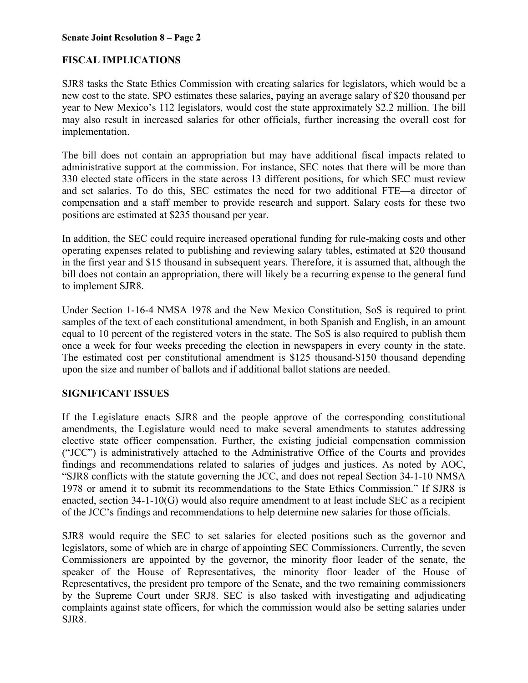### **Senate Joint Resolution 8 – Page 2**

# **FISCAL IMPLICATIONS**

SJR8 tasks the State Ethics Commission with creating salaries for legislators, which would be a new cost to the state. SPO estimates these salaries, paying an average salary of \$20 thousand per year to New Mexico's 112 legislators, would cost the state approximately \$2.2 million. The bill may also result in increased salaries for other officials, further increasing the overall cost for implementation.

The bill does not contain an appropriation but may have additional fiscal impacts related to administrative support at the commission. For instance, SEC notes that there will be more than 330 elected state officers in the state across 13 different positions, for which SEC must review and set salaries. To do this, SEC estimates the need for two additional FTE—a director of compensation and a staff member to provide research and support. Salary costs for these two positions are estimated at \$235 thousand per year.

In addition, the SEC could require increased operational funding for rule-making costs and other operating expenses related to publishing and reviewing salary tables, estimated at \$20 thousand in the first year and \$15 thousand in subsequent years. Therefore, it is assumed that, although the bill does not contain an appropriation, there will likely be a recurring expense to the general fund to implement SJR8.

Under Section 1-16-4 NMSA 1978 and the New Mexico Constitution, SoS is required to print samples of the text of each constitutional amendment, in both Spanish and English, in an amount equal to 10 percent of the registered voters in the state. The SoS is also required to publish them once a week for four weeks preceding the election in newspapers in every county in the state. The estimated cost per constitutional amendment is \$125 thousand-\$150 thousand depending upon the size and number of ballots and if additional ballot stations are needed.

# **SIGNIFICANT ISSUES**

If the Legislature enacts SJR8 and the people approve of the corresponding constitutional amendments, the Legislature would need to make several amendments to statutes addressing elective state officer compensation. Further, the existing judicial compensation commission ("JCC") is administratively attached to the Administrative Office of the Courts and provides findings and recommendations related to salaries of judges and justices. As noted by AOC, "SJR8 conflicts with the statute governing the JCC, and does not repeal Section 34-1-10 NMSA 1978 or amend it to submit its recommendations to the State Ethics Commission." If SJR8 is enacted, section 34-1-10(G) would also require amendment to at least include SEC as a recipient of the JCC's findings and recommendations to help determine new salaries for those officials.

SJR8 would require the SEC to set salaries for elected positions such as the governor and legislators, some of which are in charge of appointing SEC Commissioners. Currently, the seven Commissioners are appointed by the governor, the minority floor leader of the senate, the speaker of the House of Representatives, the minority floor leader of the House of Representatives, the president pro tempore of the Senate, and the two remaining commissioners by the Supreme Court under SRJ8. SEC is also tasked with investigating and adjudicating complaints against state officers, for which the commission would also be setting salaries under SJR8.